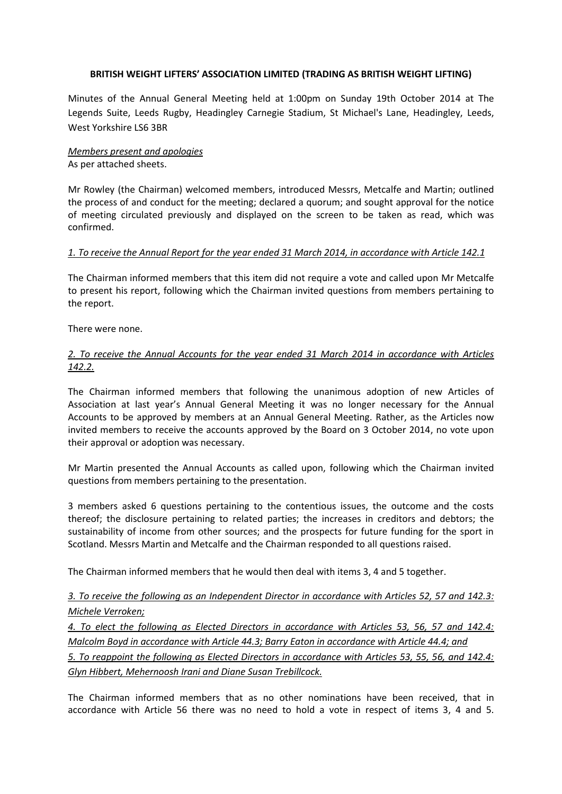#### **BRITISH WEIGHT LIFTERS' ASSOCIATION LIMITED (TRADING AS BRITISH WEIGHT LIFTING)**

Minutes of the Annual General Meeting held at 1:00pm on Sunday 19th October 2014 at The Legends Suite, Leeds Rugby, Headingley Carnegie Stadium, St Michael's Lane, Headingley, Leeds, West Yorkshire LS6 3BR

#### *Members present and apologies* As per attached sheets.

Mr Rowley (the Chairman) welcomed members, introduced Messrs, Metcalfe and Martin; outlined the process of and conduct for the meeting; declared a quorum; and sought approval for the notice of meeting circulated previously and displayed on the screen to be taken as read, which was confirmed.

### *1. To receive the Annual Report for the year ended 31 March 2014, in accordance with Article 142.1*

The Chairman informed members that this item did not require a vote and called upon Mr Metcalfe to present his report, following which the Chairman invited questions from members pertaining to the report.

There were none.

## *2. To receive the Annual Accounts for the year ended 31 March 2014 in accordance with Articles 142.2.*

The Chairman informed members that following the unanimous adoption of new Articles of Association at last year's Annual General Meeting it was no longer necessary for the Annual Accounts to be approved by members at an Annual General Meeting. Rather, as the Articles now invited members to receive the accounts approved by the Board on 3 October 2014, no vote upon their approval or adoption was necessary.

Mr Martin presented the Annual Accounts as called upon, following which the Chairman invited questions from members pertaining to the presentation.

3 members asked 6 questions pertaining to the contentious issues, the outcome and the costs thereof; the disclosure pertaining to related parties; the increases in creditors and debtors; the sustainability of income from other sources; and the prospects for future funding for the sport in Scotland. Messrs Martin and Metcalfe and the Chairman responded to all questions raised.

The Chairman informed members that he would then deal with items 3, 4 and 5 together.

# *3. To receive the following as an Independent Director in accordance with Articles 52, 57 and 142.3: Michele Verroken;*

*4. To elect the following as Elected Directors in accordance with Articles 53, 56, 57 and 142.4: Malcolm Boyd in accordance with Article 44.3; Barry Eaton in accordance with Article 44.4; and*

*5. To reappoint the following as Elected Directors in accordance with Articles 53, 55, 56, and 142.4: Glyn Hibbert, Mehernoosh Irani and Diane Susan Trebillcock.*

The Chairman informed members that as no other nominations have been received, that in accordance with Article 56 there was no need to hold a vote in respect of items 3, 4 and 5.